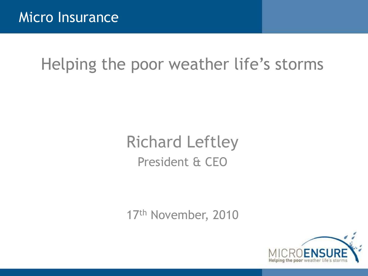# Helping the poor weather life's storms

# Richard Leftley President & CEO

17th November, 2010

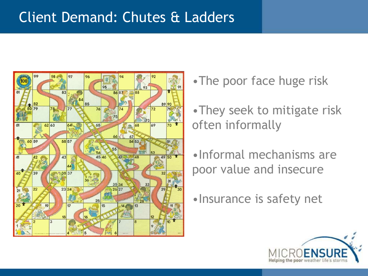### Client Demand: Chutes & Ladders



- •The poor face huge risk
- •They seek to mitigate risk often informally
- •Informal mechanisms are poor value and insecure
- •Insurance is safety net

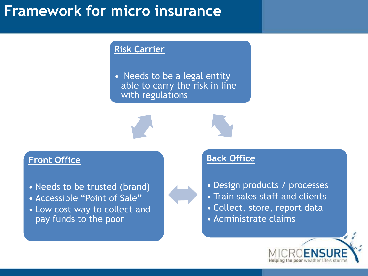# **Framework for micro insurance**

#### **Risk Carrier**

• Needs to be a legal entity able to carry the risk in line with regulations



#### **Front Office**

- Needs to be trusted (brand)
- Accessible "Point of Sale"
- Low cost way to collect and pay funds to the poor

#### **Back Office**

- Design products / processes
- Train sales staff and clients
- Collect, store, report data
- Administrate claims

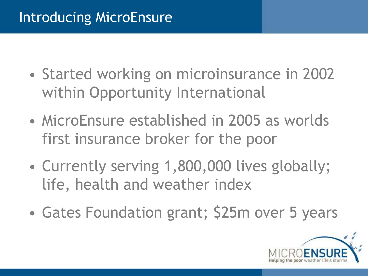### Introducing MicroEnsure

- Started working on microinsurance in 2002 within Opportunity International
- MicroEnsure established in 2005 as worlds first insurance broker for the poor
- Currently serving 1,800,000 lives globally; life, health and weather index
- Gates Foundation grant; \$25m over 5 years

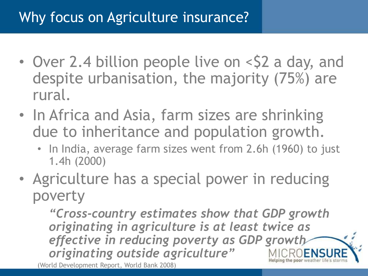# Why focus on Agriculture insurance?

- Over 2.4 billion people live on <\$2 a day, and despite urbanisation, the majority (75%) are rural.
- In Africa and Asia, farm sizes are shrinking due to inheritance and population growth.
	- In India, average farm sizes went from 2.6h (1960) to just 1.4h (2000)
- Agriculture has a special power in reducing poverty

*"Cross-country estimates show that GDP growth originating in agriculture is at least twice as effective in reducing poverty as GDP growth originating outside agriculture"* (World Development Report, World Bank 2008)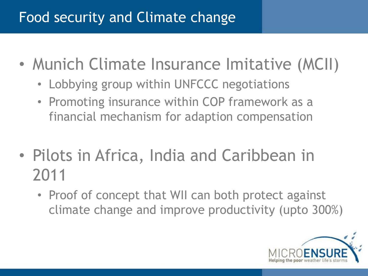# Food security and Climate change

- Munich Climate Insurance Imitative (MCII)
	- Lobbying group within UNFCCC negotiations
	- Promoting insurance within COP framework as a financial mechanism for adaption compensation
- Pilots in Africa, India and Caribbean in 2011
	- Proof of concept that WII can both protect against climate change and improve productivity (upto 300%)

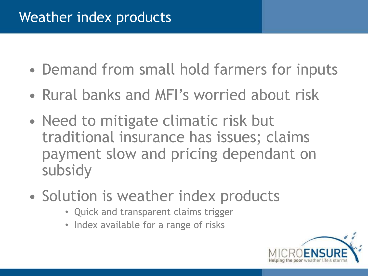### Weather index products

- Demand from small hold farmers for inputs
- Rural banks and MFI's worried about risk
- Need to mitigate climatic risk but traditional insurance has issues; claims payment slow and pricing dependant on subsidy
- Solution is weather index products
	- Quick and transparent claims trigger
	- Index available for a range of risks

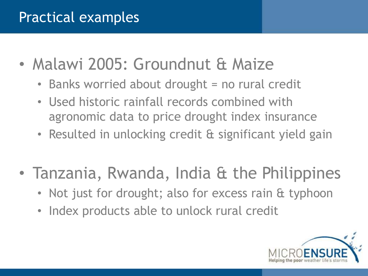# Practical examples

- Malawi 2005: Groundnut & Maize
	- Banks worried about drought = no rural credit
	- Used historic rainfall records combined with agronomic data to price drought index insurance
	- Resulted in unlocking credit & significant yield gain
- Tanzania, Rwanda, India & the Philippines
	- Not just for drought; also for excess rain & typhoon
	- Index products able to unlock rural credit

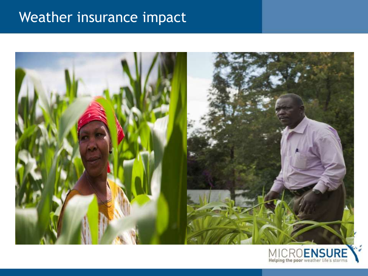# Weather insurance impact



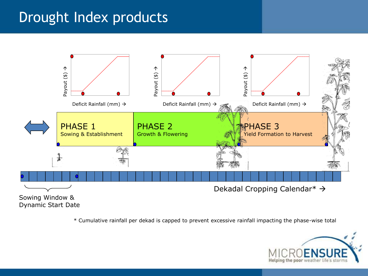#### Drought Index products



\* Cumulative rainfall per dekad is capped to prevent excessive rainfall impacting the phase-wise total

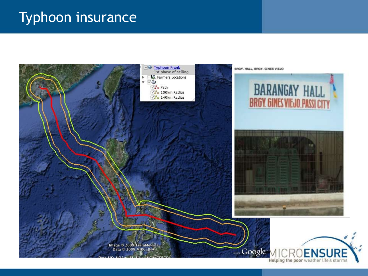#### Typhoon insurance



Helping the poor weather life's storms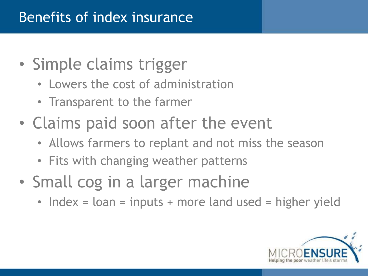### Benefits of index insurance

- Simple claims trigger
	- Lowers the cost of administration
	- Transparent to the farmer
- Claims paid soon after the event
	- Allows farmers to replant and not miss the season
	- Fits with changing weather patterns
- Small cog in a larger machine
	- Index = loan = inputs + more land used = higher yield

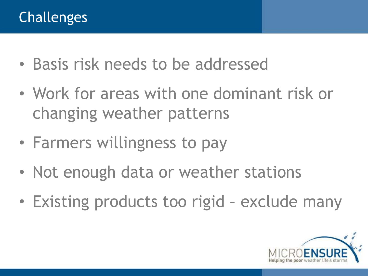- Basis risk needs to be addressed
- Work for areas with one dominant risk or changing weather patterns
- Farmers willingness to pay
- Not enough data or weather stations
- Existing products too rigid exclude many